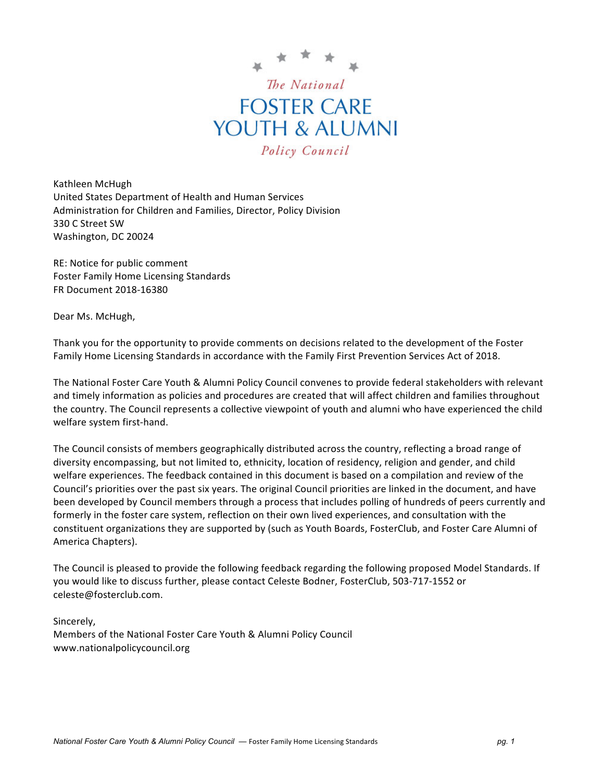

Kathleen McHugh United States Department of Health and Human Services Administration for Children and Families, Director, Policy Division 330 C Street SW Washington, DC 20024

RE: Notice for public comment Foster Family Home Licensing Standards FR Document 2018-16380

Dear Ms. McHugh,

Thank you for the opportunity to provide comments on decisions related to the development of the Foster Family Home Licensing Standards in accordance with the Family First Prevention Services Act of 2018.

The National Foster Care Youth & Alumni Policy Council convenes to provide federal stakeholders with relevant and timely information as policies and procedures are created that will affect children and families throughout the country. The Council represents a collective viewpoint of youth and alumni who have experienced the child welfare system first-hand.

The Council consists of members geographically distributed across the country, reflecting a broad range of diversity encompassing, but not limited to, ethnicity, location of residency, religion and gender, and child welfare experiences. The feedback contained in this document is based on a compilation and review of the Council's priorities over the past six years. The original Council priorities are linked in the document, and have been developed by Council members through a process that includes polling of hundreds of peers currently and formerly in the foster care system, reflection on their own lived experiences, and consultation with the constituent organizations they are supported by (such as Youth Boards, FosterClub, and Foster Care Alumni of America Chapters). 

The Council is pleased to provide the following feedback regarding the following proposed Model Standards. If you would like to discuss further, please contact Celeste Bodner, FosterClub, 503-717-1552 or celeste@fosterclub.com.

Sincerely,

Members of the National Foster Care Youth & Alumni Policy Council www.nationalpolicycouncil.org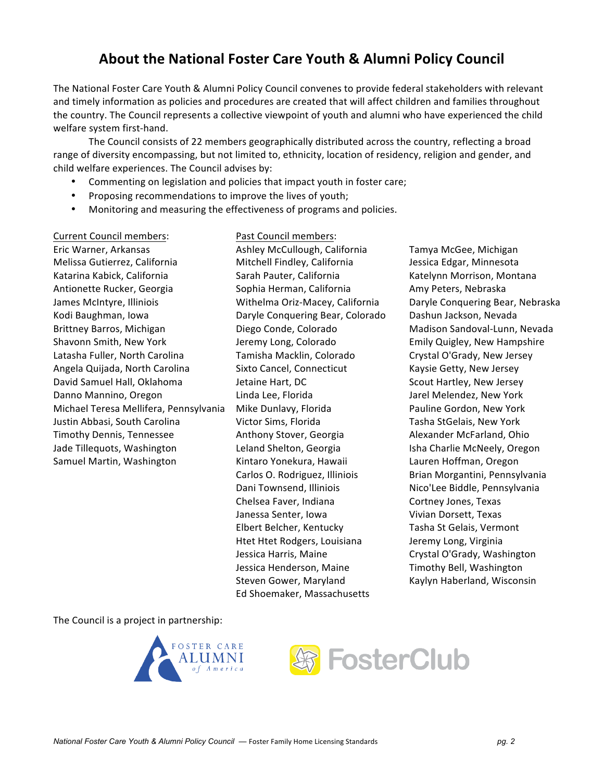# About the National Foster Care Youth & Alumni Policy Council

The National Foster Care Youth & Alumni Policy Council convenes to provide federal stakeholders with relevant and timely information as policies and procedures are created that will affect children and families throughout the country. The Council represents a collective viewpoint of youth and alumni who have experienced the child welfare system first-hand.

The Council consists of 22 members geographically distributed across the country, reflecting a broad range of diversity encompassing, but not limited to, ethnicity, location of residency, religion and gender, and child welfare experiences. The Council advises by:

- Commenting on legislation and policies that impact youth in foster care;
- Proposing recommendations to improve the lives of youth;
- Monitoring and measuring the effectiveness of programs and policies.

Current Council members: Past Council members: Eric Warner, Arkansas Melissa Gutierrez, California Katarina Kabick, California Antionette Rucker, Georgia James McIntyre, Illiniois Kodi Baughman, Iowa Brittney Barros, Michigan Shavonn Smith, New York Latasha Fuller, North Carolina Angela Quijada, North Carolina David Samuel Hall, Oklahoma Danno Mannino, Oregon Michael Teresa Mellifera, Pennsylvania Justin Abbasi, South Carolina Timothy Dennis, Tennessee Jade Tillequots, Washington Samuel Martin, Washington

Ashley McCullough, California Mitchell Findley, California Sarah Pauter, California Sophia Herman, California Withelma Oriz-Macey, California Daryle Conquering Bear, Colorado Diego Conde, Colorado Jeremy Long, Colorado Tamisha Macklin, Colorado Sixto Cancel, Connecticut Jetaine Hart, DC Linda Lee, Florida Mike Dunlavy, Florida Victor Sims, Florida Anthony Stover, Georgia Leland Shelton, Georgia Kintaro Yonekura, Hawaii Carlos O. Rodriguez, Illiniois Dani Townsend, Illiniois Chelsea Faver, Indiana Janessa Senter, Iowa Elbert Belcher, Kentucky Htet Htet Rodgers, Louisiana Jessica Harris, Maine Jessica Henderson, Maine Steven Gower, Maryland Ed Shoemaker, Massachusetts

Tamya McGee, Michigan Jessica Edgar, Minnesota Katelynn Morrison, Montana Amy Peters, Nebraska Daryle Conquering Bear, Nebraska Dashun Jackson, Nevada Madison Sandoval-Lunn, Nevada Emily Quigley, New Hampshire Crystal O'Grady, New Jersey Kaysie Getty, New Jersey Scout Hartley, New Jersey Jarel Melendez, New York Pauline Gordon, New York Tasha StGelais, New York Alexander McFarland, Ohio Isha Charlie McNeely, Oregon Lauren Hoffman, Oregon Brian Morgantini, Pennsylvania Nico'Lee Biddle, Pennsylvania Cortney Jones, Texas Vivian Dorsett, Texas Tasha St Gelais, Vermont Jeremy Long, Virginia Crystal O'Grady, Washington Timothy Bell, Washington Kaylyn Haberland, Wisconsin

The Council is a project in partnership:



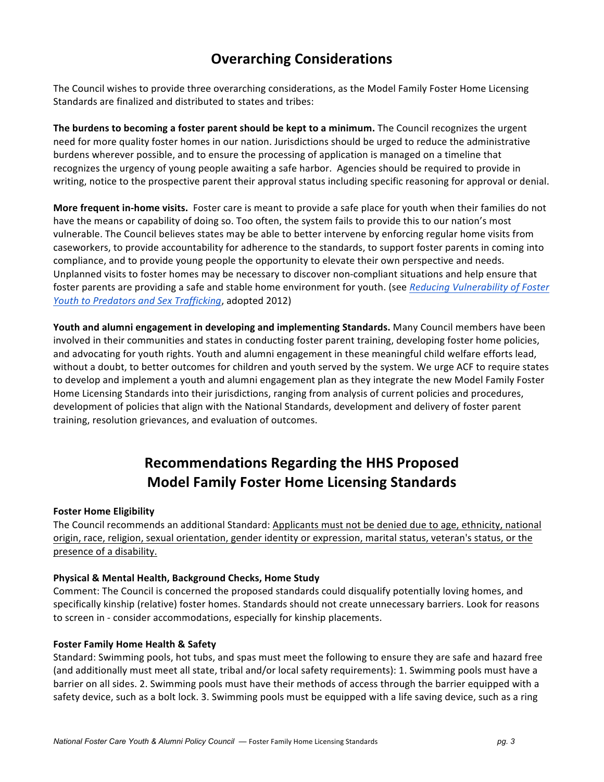# **Overarching Considerations**

The Council wishes to provide three overarching considerations, as the Model Family Foster Home Licensing Standards are finalized and distributed to states and tribes:

**The burdens to becoming a foster parent should be kept to a minimum.** The Council recognizes the urgent need for more quality foster homes in our nation. Jurisdictions should be urged to reduce the administrative burdens wherever possible, and to ensure the processing of application is managed on a timeline that recognizes the urgency of young people awaiting a safe harbor. Agencies should be required to provide in writing, notice to the prospective parent their approval status including specific reasoning for approval or denial.

**More frequent in-home visits.** Foster care is meant to provide a safe place for youth when their families do not have the means or capability of doing so. Too often, the system fails to provide this to our nation's most vulnerable. The Council believes states may be able to better intervene by enforcing regular home visits from caseworkers, to provide accountability for adherence to the standards, to support foster parents in coming into compliance, and to provide young people the opportunity to elevate their own perspective and needs. Unplanned visits to foster homes may be necessary to discover non-compliant situations and help ensure that foster parents are providing a safe and stable home environment for youth. (see *Reducing Vulnerability of Foster Youth to Predators and Sex Trafficking*, adopted 2012)

**Youth and alumni engagement in developing and implementing Standards.** Many Council members have been involved in their communities and states in conducting foster parent training, developing foster home policies, and advocating for youth rights. Youth and alumni engagement in these meaningful child welfare efforts lead, without a doubt, to better outcomes for children and youth served by the system. We urge ACF to require states to develop and implement a youth and alumni engagement plan as they integrate the new Model Family Foster Home Licensing Standards into their jurisdictions, ranging from analysis of current policies and procedures, development of policies that align with the National Standards, development and delivery of foster parent training, resolution grievances, and evaluation of outcomes.

# **Recommendations Regarding the HHS Proposed Model Family Foster Home Licensing Standards**

## **Foster Home Eligibility**

The Council recommends an additional Standard: Applicants must not be denied due to age, ethnicity, national origin, race, religion, sexual orientation, gender identity or expression, marital status, veteran's status, or the presence of a disability.

## **Physical & Mental Health, Background Checks, Home Study**

Comment: The Council is concerned the proposed standards could disqualify potentially loving homes, and specifically kinship (relative) foster homes. Standards should not create unnecessary barriers. Look for reasons to screen in - consider accommodations, especially for kinship placements.

#### **Foster Family Home Health & Safety**

Standard: Swimming pools, hot tubs, and spas must meet the following to ensure they are safe and hazard free (and additionally must meet all state, tribal and/or local safety requirements): 1. Swimming pools must have a barrier on all sides. 2. Swimming pools must have their methods of access through the barrier equipped with a safety device, such as a bolt lock. 3. Swimming pools must be equipped with a life saving device, such as a ring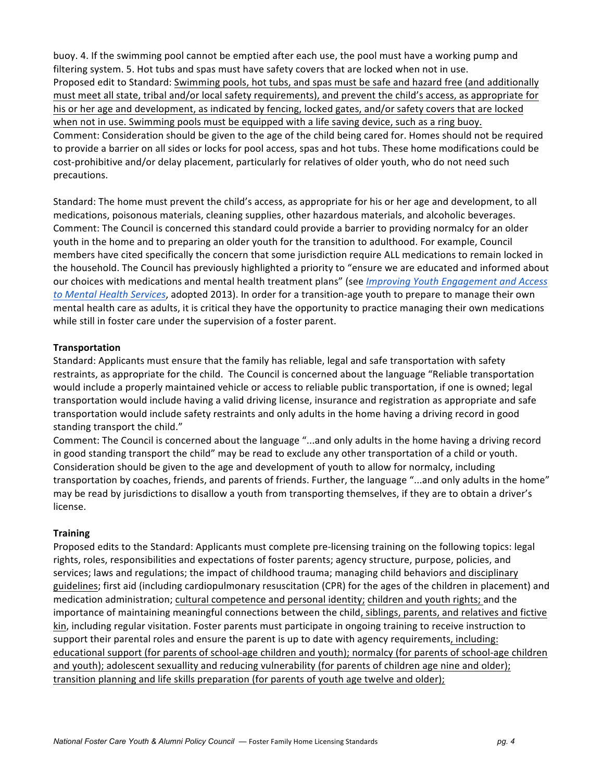buoy. 4. If the swimming pool cannot be emptied after each use, the pool must have a working pump and filtering system. 5. Hot tubs and spas must have safety covers that are locked when not in use. Proposed edit to Standard: Swimming pools, hot tubs, and spas must be safe and hazard free (and additionally must meet all state, tribal and/or local safety requirements), and prevent the child's access, as appropriate for his or her age and development, as indicated by fencing, locked gates, and/or safety covers that are locked when not in use. Swimming pools must be equipped with a life saving device, such as a ring buoy. Comment: Consideration should be given to the age of the child being cared for. Homes should not be required to provide a barrier on all sides or locks for pool access, spas and hot tubs. These home modifications could be cost-prohibitive and/or delay placement, particularly for relatives of older youth, who do not need such precautions. 

Standard: The home must prevent the child's access, as appropriate for his or her age and development, to all medications, poisonous materials, cleaning supplies, other hazardous materials, and alcoholic beverages. Comment: The Council is concerned this standard could provide a barrier to providing normalcy for an older youth in the home and to preparing an older youth for the transition to adulthood. For example, Council members have cited specifically the concern that some jurisdiction require ALL medications to remain locked in the household. The Council has previously highlighted a priority to "ensure we are educated and informed about our choices with medications and mental health treatment plans" (see *Improving Youth Engagement and Access to* Mental Health Services, adopted 2013). In order for a transition-age youth to prepare to manage their own mental health care as adults, it is critical they have the opportunity to practice managing their own medications while still in foster care under the supervision of a foster parent.

#### **Transportation**

Standard: Applicants must ensure that the family has reliable, legal and safe transportation with safety restraints, as appropriate for the child. The Council is concerned about the language "Reliable transportation would include a properly maintained vehicle or access to reliable public transportation, if one is owned; legal transportation would include having a valid driving license, insurance and registration as appropriate and safe transportation would include safety restraints and only adults in the home having a driving record in good standing transport the child."

Comment: The Council is concerned about the language "...and only adults in the home having a driving record in good standing transport the child" may be read to exclude any other transportation of a child or youth. Consideration should be given to the age and development of youth to allow for normalcy, including transportation by coaches, friends, and parents of friends. Further, the language "...and only adults in the home" may be read by jurisdictions to disallow a youth from transporting themselves, if they are to obtain a driver's license. 

## **Training**

Proposed edits to the Standard: Applicants must complete pre-licensing training on the following topics: legal rights, roles, responsibilities and expectations of foster parents; agency structure, purpose, policies, and services; laws and regulations; the impact of childhood trauma; managing child behaviors and disciplinary guidelines; first aid (including cardiopulmonary resuscitation (CPR) for the ages of the children in placement) and medication administration; cultural competence and personal identity; children and youth rights; and the importance of maintaining meaningful connections between the child, siblings, parents, and relatives and fictive kin, including regular visitation. Foster parents must participate in ongoing training to receive instruction to support their parental roles and ensure the parent is up to date with agency requirements, including: educational support (for parents of school-age children and youth); normalcy (for parents of school-age children and youth); adolescent sexuallity and reducing vulnerability (for parents of children age nine and older); transition planning and life skills preparation (for parents of youth age twelve and older);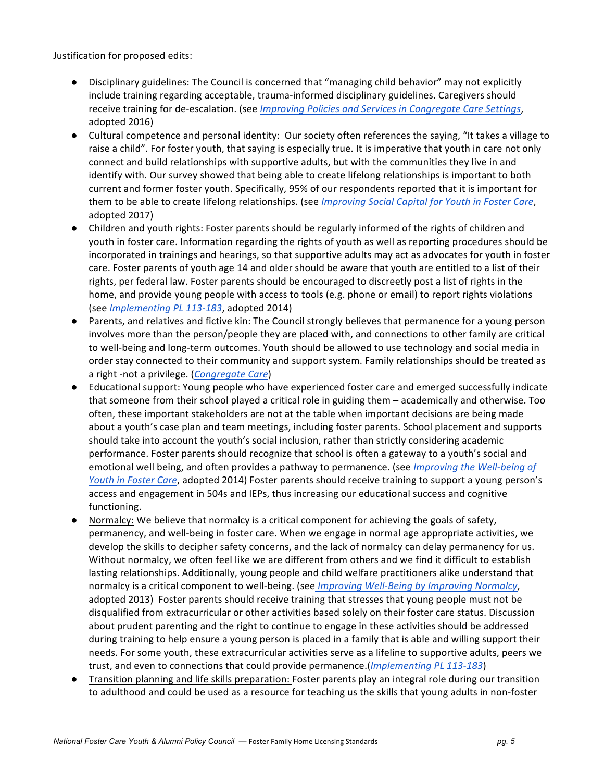Justification for proposed edits:

- Disciplinary guidelines: The Council is concerned that "managing child behavior" may not explicitly include training regarding acceptable, trauma-informed disciplinary guidelines. Caregivers should receive training for de-escalation. (see *Improving Policies and Services in Congregate Care Settings*, adopted 2016)
- Cultural competence and personal identity: Our society often references the saying, "It takes a village to raise a child". For foster youth, that saying is especially true. It is imperative that youth in care not only connect and build relationships with supportive adults, but with the communities they live in and identify with. Our survey showed that being able to create lifelong relationships is important to both current and former foster youth. Specifically, 95% of our respondents reported that it is important for them to be able to create lifelong relationships. (see *Improving Social Capital for Youth in Foster Care*, adopted 2017)
- Children and youth rights: Foster parents should be regularly informed of the rights of children and youth in foster care. Information regarding the rights of youth as well as reporting procedures should be incorporated in trainings and hearings, so that supportive adults may act as advocates for youth in foster care. Foster parents of youth age 14 and older should be aware that youth are entitled to a list of their rights, per federal law. Foster parents should be encouraged to discreetly post a list of rights in the home, and provide young people with access to tools (e.g. phone or email) to report rights violations (see *Implementing PL 113-183*, adopted 2014)
- Parents, and relatives and fictive kin: The Council strongly believes that permanence for a young person involves more than the person/people they are placed with, and connections to other family are critical to well-being and long-term outcomes. Youth should be allowed to use technology and social media in order stay connected to their community and support system. Family relationships should be treated as a right -not a privilege. (Congregate Care)
- Educational support: Young people who have experienced foster care and emerged successfully indicate that someone from their school played a critical role in guiding them – academically and otherwise. Too often, these important stakeholders are not at the table when important decisions are being made about a youth's case plan and team meetings, including foster parents. School placement and supports should take into account the youth's social inclusion, rather than strictly considering academic performance. Foster parents should recognize that school is often a gateway to a youth's social and emotional well being, and often provides a pathway to permanence. (see *Improving the Well-being of Youth in Foster Care,* adopted 2014) Foster parents should receive training to support a young person's access and engagement in 504s and IEPs, thus increasing our educational success and cognitive functioning.
- Normalcy: We believe that normalcy is a critical component for achieving the goals of safety, permanency, and well-being in foster care. When we engage in normal age appropriate activities, we develop the skills to decipher safety concerns, and the lack of normalcy can delay permanency for us. Without normalcy, we often feel like we are different from others and we find it difficult to establish lasting relationships. Additionally, young people and child welfare practitioners alike understand that normalcy is a critical component to well-being. (see *Improving Well-Being by Improving Normalcy*, adopted 2013) Foster parents should receive training that stresses that young people must not be disqualified from extracurricular or other activities based solely on their foster care status. Discussion about prudent parenting and the right to continue to engage in these activities should be addressed during training to help ensure a young person is placed in a family that is able and willing support their needs. For some youth, these extracurricular activities serve as a lifeline to supportive adults, peers we trust, and even to connections that could provide permanence.(*Implementing PL 113-183*)
- Transition planning and life skills preparation: Foster parents play an integral role during our transition to adulthood and could be used as a resource for teaching us the skills that young adults in non-foster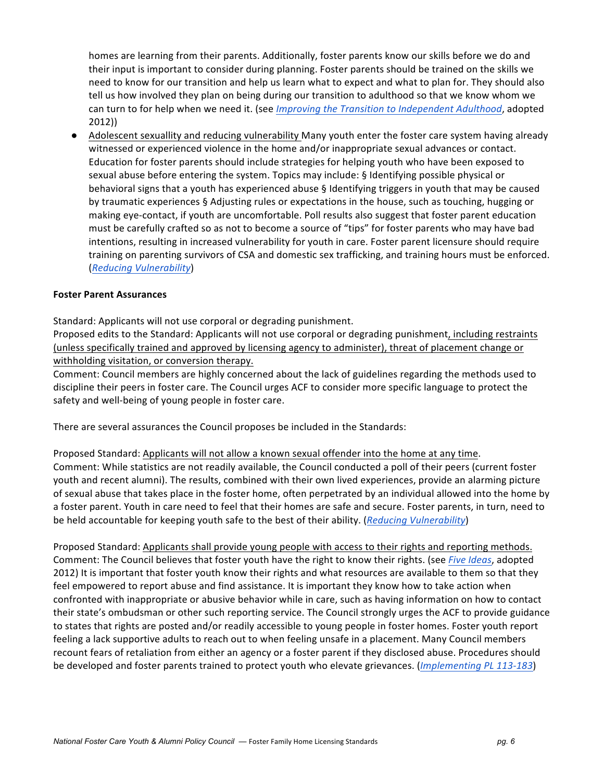homes are learning from their parents. Additionally, foster parents know our skills before we do and their input is important to consider during planning. Foster parents should be trained on the skills we need to know for our transition and help us learn what to expect and what to plan for. They should also tell us how involved they plan on being during our transition to adulthood so that we know whom we can turn to for help when we need it. (see *Improving the Transition to Independent Adulthood*, adopted 2012))

• Adolescent sexuallity and reducing vulnerability Many youth enter the foster care system having already witnessed or experienced violence in the home and/or inappropriate sexual advances or contact. Education for foster parents should include strategies for helping youth who have been exposed to sexual abuse before entering the system. Topics may include: § Identifying possible physical or behavioral signs that a youth has experienced abuse § Identifying triggers in youth that may be caused by traumatic experiences § Adjusting rules or expectations in the house, such as touching, hugging or making eye-contact, if youth are uncomfortable. Poll results also suggest that foster parent education must be carefully crafted so as not to become a source of "tips" for foster parents who may have bad intentions, resulting in increased vulnerability for youth in care. Foster parent licensure should require training on parenting survivors of CSA and domestic sex trafficking, and training hours must be enforced. (*Reducing Vulnerability*)

#### **Foster Parent Assurances**

Standard: Applicants will not use corporal or degrading punishment.

Proposed edits to the Standard: Applicants will not use corporal or degrading punishment, including restraints (unless specifically trained and approved by licensing agency to administer), threat of placement change or withholding visitation, or conversion therapy.

Comment: Council members are highly concerned about the lack of guidelines regarding the methods used to discipline their peers in foster care. The Council urges ACF to consider more specific language to protect the safety and well-being of young people in foster care.

There are several assurances the Council proposes be included in the Standards:

Proposed Standard: Applicants will not allow a known sexual offender into the home at any time. Comment: While statistics are not readily available, the Council conducted a poll of their peers (current foster youth and recent alumni). The results, combined with their own lived experiences, provide an alarming picture of sexual abuse that takes place in the foster home, often perpetrated by an individual allowed into the home by a foster parent. Youth in care need to feel that their homes are safe and secure. Foster parents, in turn, need to be held accountable for keeping youth safe to the best of their ability. (*Reducing Vulnerability*)

Proposed Standard: Applicants shall provide young people with access to their rights and reporting methods. Comment: The Council believes that foster youth have the right to know their rights. (see *Five Ideas*, adopted 2012) It is important that foster youth know their rights and what resources are available to them so that they feel empowered to report abuse and find assistance. It is important they know how to take action when confronted with inappropriate or abusive behavior while in care, such as having information on how to contact their state's ombudsman or other such reporting service. The Council strongly urges the ACF to provide guidance to states that rights are posted and/or readily accessible to young people in foster homes. Foster youth report feeling a lack supportive adults to reach out to when feeling unsafe in a placement. Many Council members recount fears of retaliation from either an agency or a foster parent if they disclosed abuse. Procedures should be developed and foster parents trained to protect youth who elevate grievances. (*Implementing PL 113-183*)